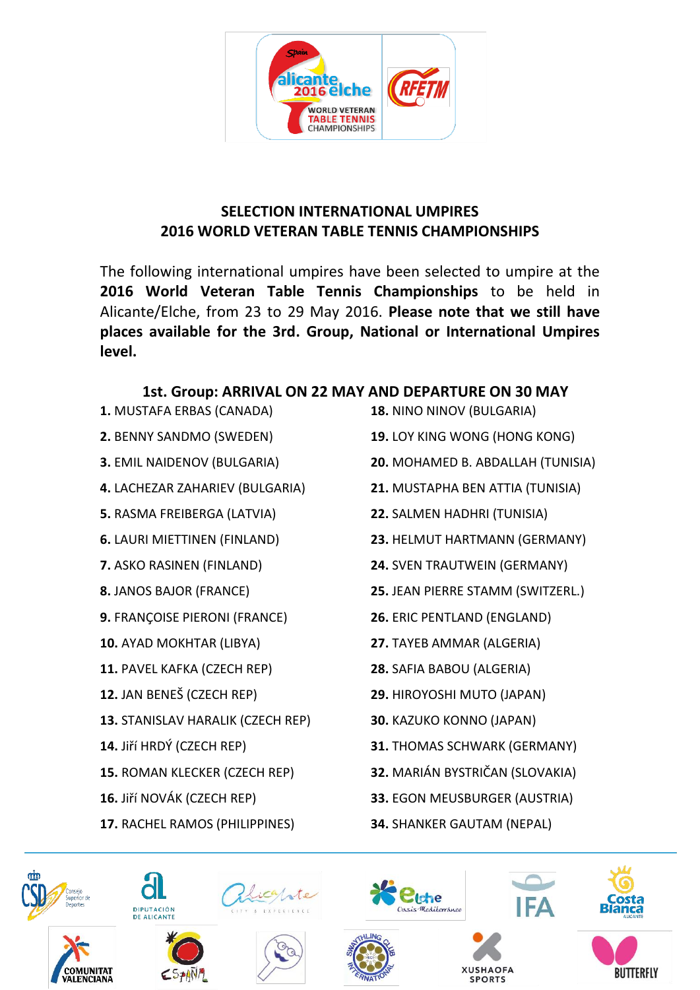

## **SELECTION INTERNATIONAL UMPIRES 2016 WORLD VETERAN TABLE TENNIS CHAMPIONSHIPS**

The following international umpires have been selected to umpire at the **2016 World Veteran Table Tennis Championships** to be held in Alicante/Elche, from 23 to 29 May 2016. **Please note that we still have places available for the 3rd. Group, National or International Umpires level.**

## **1st. Group: ARRIVAL ON 22 MAY AND DEPARTURE ON 30 MAY**

- **1.** MUSTAFA ERBAS (CANADA)
- **2.** BENNY SANDMO (SWEDEN)
- **3.** EMIL NAIDENOV (BULGARIA)
- **4.** LACHEZAR ZAHARIEV (BULGARIA)
- **5.** RASMA FREIBERGA (LATVIA)
- **6.** LAURI MIETTINEN (FINLAND)
- **7.** ASKO RASINEN (FINLAND)
- **8.** JANOS BAJOR (FRANCE)
- **9.** FRANÇOISE PIERONI (FRANCE)
- **10.** AYAD MOKHTAR (LIBYA)
- **11.** PAVEL KAFKA (CZECH REP)
- **12.** JAN BENEŠ (CZECH REP)
- **13.** STANISLAV HARALIK (CZECH REP)
- **14.** Jiří HRDÝ (CZECH REP)
- **15.** ROMAN KLECKER (CZECH REP)
- **16.** Jiří NOVÁK (CZECH REP)
- **17.** RACHEL RAMOS (PHILIPPINES)
- **18.** NINO NINOV (BULGARIA)
- **19.** LOY KING WONG (HONG KONG)
- **20.** MOHAMED B. ABDALLAH (TUNISIA)
- **21.** MUSTAPHA BEN ATTIA (TUNISIA)
- **22.** SALMEN HADHRI (TUNISIA)
- **23.** HELMUT HARTMANN (GERMANY)
- **24.** SVEN TRAUTWEIN (GERMANY)
- **25.** JEAN PIERRE STAMM (SWITZERL.)
- **26.** ERIC PENTLAND (ENGLAND)
- **27.** TAYEB AMMAR (ALGERIA)
- **28.** SAFIA BABOU (ALGERIA)
- **29.** HIROYOSHI MUTO (JAPAN)
- **30.** KAZUKO KONNO (JAPAN)
- **31.** THOMAS SCHWARK (GERMANY)
- **32.** MARIÁN BYSTRIČAN (SLOVAKIA)
- **33.** EGON MEUSBURGER (AUSTRIA)
- **34.** SHANKER GAUTAM (NEPAL)





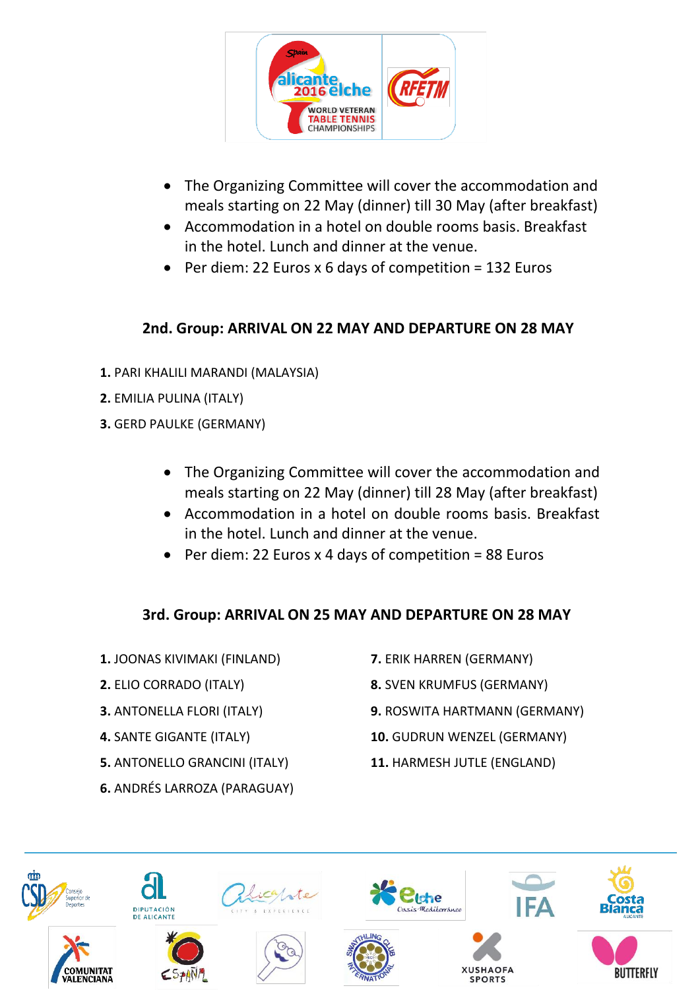

- The Organizing Committee will cover the accommodation and meals starting on 22 May (dinner) till 30 May (after breakfast)
- Accommodation in a hotel on double rooms basis. Breakfast in the hotel. Lunch and dinner at the venue.
- Per diem: 22 Euros x 6 days of competition = 132 Euros

## **2nd. Group: ARRIVAL ON 22 MAY AND DEPARTURE ON 28 MAY**

- **1.** PARI KHALILI MARANDI (MALAYSIA)
- **2.** EMILIA PULINA (ITALY)
- **3.** GERD PAULKE (GERMANY)
	- The Organizing Committee will cover the accommodation and meals starting on 22 May (dinner) till 28 May (after breakfast)
	- Accommodation in a hotel on double rooms basis. Breakfast in the hotel. Lunch and dinner at the venue.
	- Per diem: 22 Euros x 4 days of competition = 88 Euros

## **3rd. Group: ARRIVAL ON 25 MAY AND DEPARTURE ON 28 MAY**

- **1.** JOONAS KIVIMAKI (FINLAND)
- **2.** ELIO CORRADO (ITALY)
- **3.** ANTONELLA FLORI (ITALY)
- **4.** SANTE GIGANTE (ITALY)
- **5.** ANTONELLO GRANCINI (ITALY)
- **6.** ANDRÉS LARROZA (PARAGUAY)
- **7.** ERIK HARREN (GERMANY)
- **8.** SVEN KRUMFUS (GERMANY)
- **9.** ROSWITA HARTMANN (GERMANY)
- **10.** GUDRUN WENZEL (GERMANY)
- **11.** HARMESH JUTLE (ENGLAND)